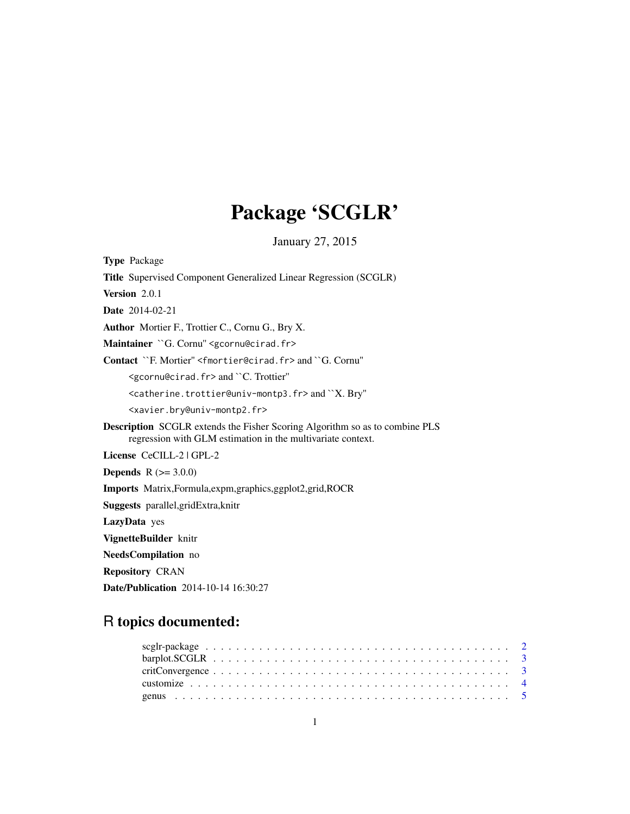## Package 'SCGLR'

January 27, 2015

<span id="page-0-0"></span>Type Package Title Supervised Component Generalized Linear Regression (SCGLR) Version 2.0.1 Date 2014-02-21 Author Mortier F., Trottier C., Cornu G., Bry X. Maintainer `G. Cornu" <gcornu@cirad.fr> Contact ``F. Mortier'' <fmortier@cirad.fr> and ``G. Cornu'' <gcornu@cirad.fr> and ``C. Trottier'' <catherine.trottier@univ-montp3.fr> and ``X. Bry'' <xavier.bry@univ-montp2.fr> Description SCGLR extends the Fisher Scoring Algorithm so as to combine PLS regression with GLM estimation in the multivariate context. License CeCILL-2 | GPL-2 **Depends** R  $(>= 3.0.0)$ Imports Matrix,Formula,expm,graphics,ggplot2,grid,ROCR Suggests parallel,gridExtra,knitr LazyData yes VignetteBuilder knitr NeedsCompilation no Repository CRAN

### R topics documented:

Date/Publication 2014-10-14 16:30:27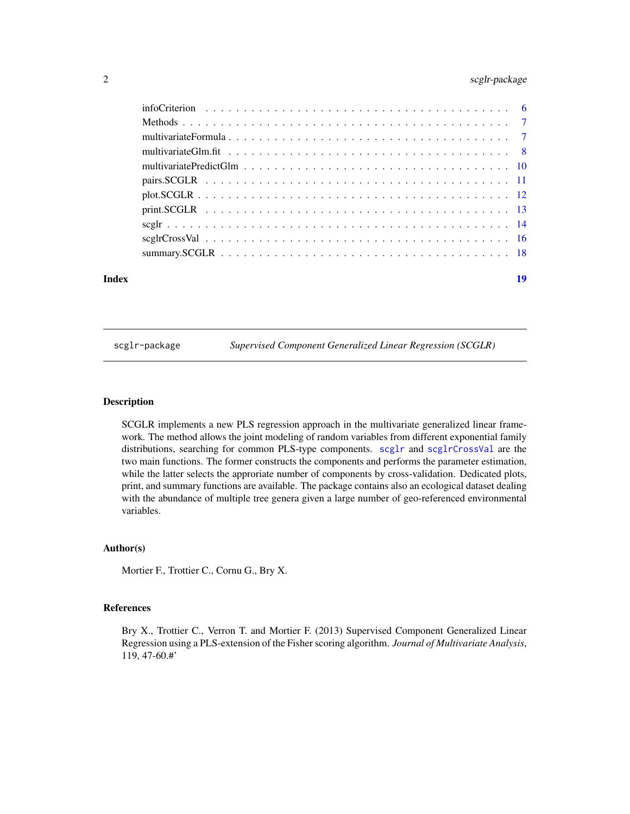#### <span id="page-1-0"></span>2 scglr-package

| Index | 19 |  |
|-------|----|--|

scglr-package *Supervised Component Generalized Linear Regression (SCGLR)*

#### Description

SCGLR implements a new PLS regression approach in the multivariate generalized linear framework. The method allows the joint modeling of random variables from different exponential family distributions, searching for common PLS-type components. [scglr](#page-13-1) and [scglrCrossVal](#page-15-1) are the two main functions. The former constructs the components and performs the parameter estimation, while the latter selects the approriate number of components by cross-validation. Dedicated plots, print, and summary functions are available. The package contains also an ecological dataset dealing with the abundance of multiple tree genera given a large number of geo-referenced environmental variables.

#### Author(s)

Mortier F., Trottier C., Cornu G., Bry X.

#### References

Bry X., Trottier C., Verron T. and Mortier F. (2013) Supervised Component Generalized Linear Regression using a PLS-extension of the Fisher scoring algorithm. *Journal of Multivariate Analysis*, 119, 47-60.#'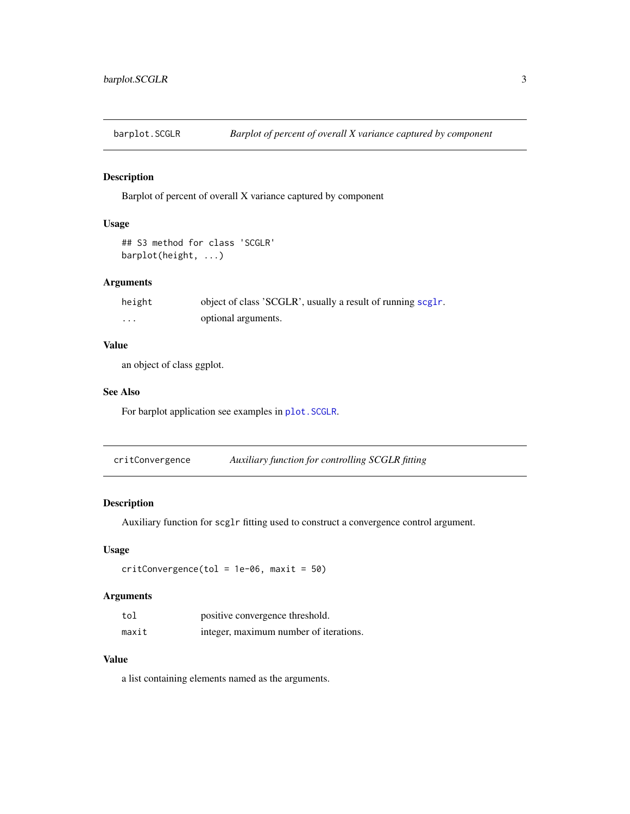<span id="page-2-0"></span>

#### Description

Barplot of percent of overall X variance captured by component

#### Usage

```
## S3 method for class 'SCGLR'
barplot(height, ...)
```
#### Arguments

| height | object of class 'SCGLR', usually a result of running scglr. |
|--------|-------------------------------------------------------------|
| .      | optional arguments.                                         |

#### Value

an object of class ggplot.

#### See Also

For barplot application see examples in [plot.SCGLR](#page-11-1).

critConvergence *Auxiliary function for controlling SCGLR fitting*

#### Description

Auxiliary function for scglr fitting used to construct a convergence control argument.

#### Usage

 $critConvergence(tol = 1e-06, maxit = 50)$ 

#### Arguments

| tol   | positive convergence threshold.        |
|-------|----------------------------------------|
| maxit | integer, maximum number of iterations. |

#### Value

a list containing elements named as the arguments.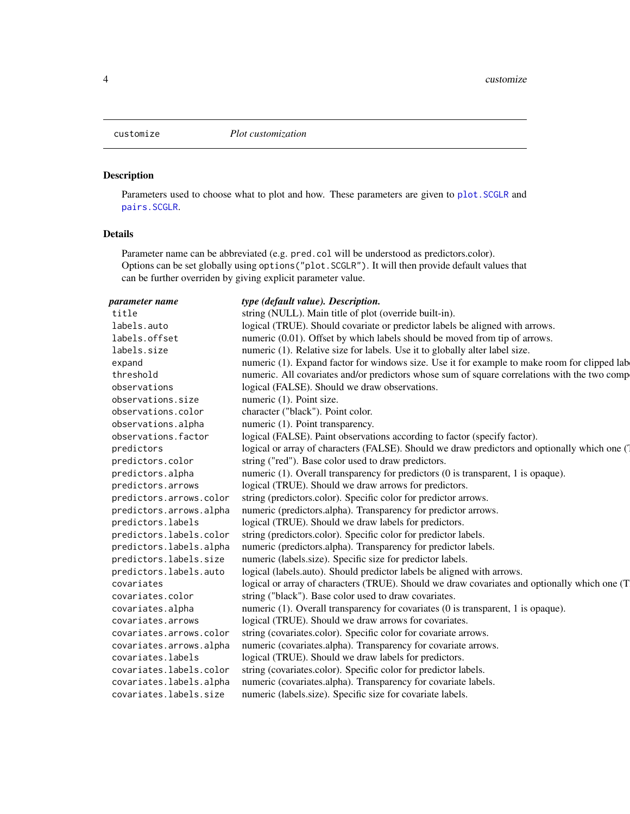<span id="page-3-1"></span><span id="page-3-0"></span>

#### Description

Parameters used to choose what to plot and how. These parameters are given to [plot.SCGLR](#page-11-1) and [pairs.SCGLR](#page-10-1).

#### Details

Parameter name can be abbreviated (e.g. pred.col will be understood as predictors.color). Options can be set globally using options("plot.SCGLR"). It will then provide default values that can be further overriden by giving explicit parameter value.

| parameter name          | type (default value). Description.                                                             |
|-------------------------|------------------------------------------------------------------------------------------------|
| title                   | string (NULL). Main title of plot (override built-in).                                         |
| labels.auto             | logical (TRUE). Should covariate or predictor labels be aligned with arrows.                   |
| labels.offset           | numeric (0.01). Offset by which labels should be moved from tip of arrows.                     |
| labels.size             | numeric (1). Relative size for labels. Use it to globally alter label size.                    |
| expand                  | numeric (1). Expand factor for windows size. Use it for example to make room for clipped lab   |
| threshold               | numeric. All covariates and/or predictors whose sum of square correlations with the two comp   |
| observations            | logical (FALSE). Should we draw observations.                                                  |
| observations.size       | numeric (1). Point size.                                                                       |
| observations.color      | character ("black"). Point color.                                                              |
| observations.alpha      | numeric (1). Point transparency.                                                               |
| observations.factor     | logical (FALSE). Paint observations according to factor (specify factor).                      |
| predictors              | logical or array of characters (FALSE). Should we draw predictors and optionally which one (1) |
| predictors.color        | string ("red"). Base color used to draw predictors.                                            |
| predictors.alpha        | numeric (1). Overall transparency for predictors (0 is transparent, 1 is opaque).              |
| predictors.arrows       | logical (TRUE). Should we draw arrows for predictors.                                          |
| predictors.arrows.color | string (predictors.color). Specific color for predictor arrows.                                |
| predictors.arrows.alpha | numeric (predictors.alpha). Transparency for predictor arrows.                                 |
| predictors.labels       | logical (TRUE). Should we draw labels for predictors.                                          |
| predictors.labels.color | string (predictors.color). Specific color for predictor labels.                                |
| predictors.labels.alpha | numeric (predictors.alpha). Transparency for predictor labels.                                 |
| predictors.labels.size  | numeric (labels.size). Specific size for predictor labels.                                     |
| predictors.labels.auto  | logical (labels.auto). Should predictor labels be aligned with arrows.                         |
| covariates              | logical or array of characters (TRUE). Should we draw covariates and optionally which one (T   |
| covariates.color        | string ("black"). Base color used to draw covariates.                                          |
| covariates.alpha        | numeric (1). Overall transparency for covariates (0 is transparent, 1 is opaque).              |
| covariates.arrows       | logical (TRUE). Should we draw arrows for covariates.                                          |
| covariates.arrows.color | string (covariates.color). Specific color for covariate arrows.                                |
| covariates.arrows.alpha | numeric (covariates.alpha). Transparency for covariate arrows.                                 |
| covariates.labels       | logical (TRUE). Should we draw labels for predictors.                                          |
| covariates.labels.color | string (covariates.color). Specific color for predictor labels.                                |
| covariates.labels.alpha | numeric (covariates.alpha). Transparency for covariate labels.                                 |
| covariates.labels.size  | numeric (labels.size). Specific size for covariate labels.                                     |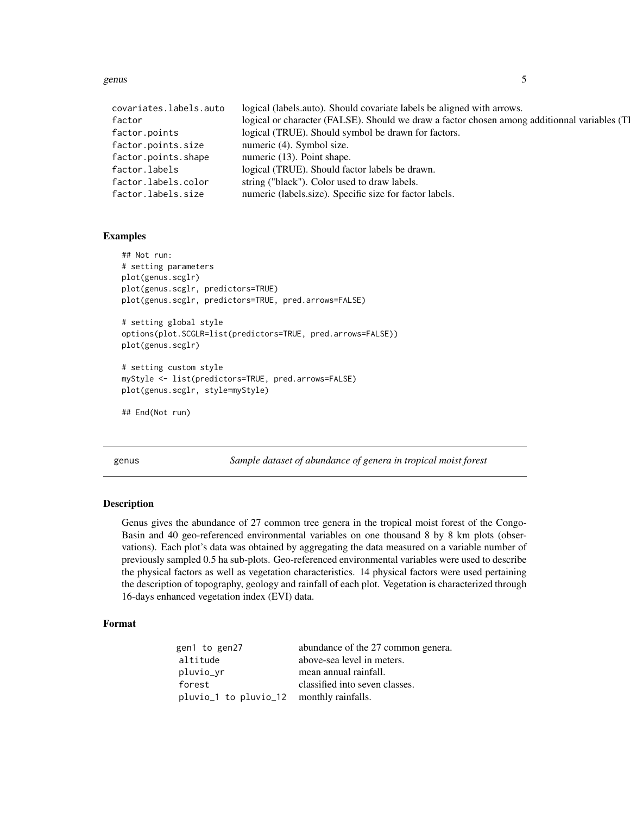<span id="page-4-0"></span>genus  $5<sup>5</sup>$ 

| covariates.labels.auto | logical (labels.auto). Should covariate labels be aligned with arrows.                       |
|------------------------|----------------------------------------------------------------------------------------------|
| factor                 | logical or character (FALSE). Should we draw a factor chosen among additionnal variables (T) |
| factor.points          | logical (TRUE). Should symbol be drawn for factors.                                          |
| factor.points.size     | numeric (4). Symbol size.                                                                    |
| factor.points.shape    | numeric (13). Point shape.                                                                   |
| factor.labels          | logical (TRUE). Should factor labels be drawn.                                               |
| factor.labels.color    | string ("black"). Color used to draw labels.                                                 |
| factor.labels.size     | numeric (labels.size). Specific size for factor labels.                                      |

#### Examples

```
## Not run:
# setting parameters
plot(genus.scglr)
plot(genus.scglr, predictors=TRUE)
plot(genus.scglr, predictors=TRUE, pred.arrows=FALSE)
# setting global style
options(plot.SCGLR=list(predictors=TRUE, pred.arrows=FALSE))
plot(genus.scglr)
# setting custom style
myStyle <- list(predictors=TRUE, pred.arrows=FALSE)
plot(genus.scglr, style=myStyle)
## End(Not run)
```
genus *Sample dataset of abundance of genera in tropical moist forest*

#### Description

Genus gives the abundance of 27 common tree genera in the tropical moist forest of the Congo-Basin and 40 geo-referenced environmental variables on one thousand 8 by 8 km plots (observations). Each plot's data was obtained by aggregating the data measured on a variable number of previously sampled 0.5 ha sub-plots. Geo-referenced environmental variables were used to describe the physical factors as well as vegetation characteristics. 14 physical factors were used pertaining the description of topography, geology and rainfall of each plot. Vegetation is characterized through 16-days enhanced vegetation index (EVI) data.

#### Format

| gen1 to gen27                            | abundance of the 27 common genera. |
|------------------------------------------|------------------------------------|
| altitude                                 | above-sea level in meters.         |
| pluvio_yr                                | mean annual rainfall.              |
| forest                                   | classified into seven classes.     |
| pluvio_1 to pluvio_12 monthly rainfalls. |                                    |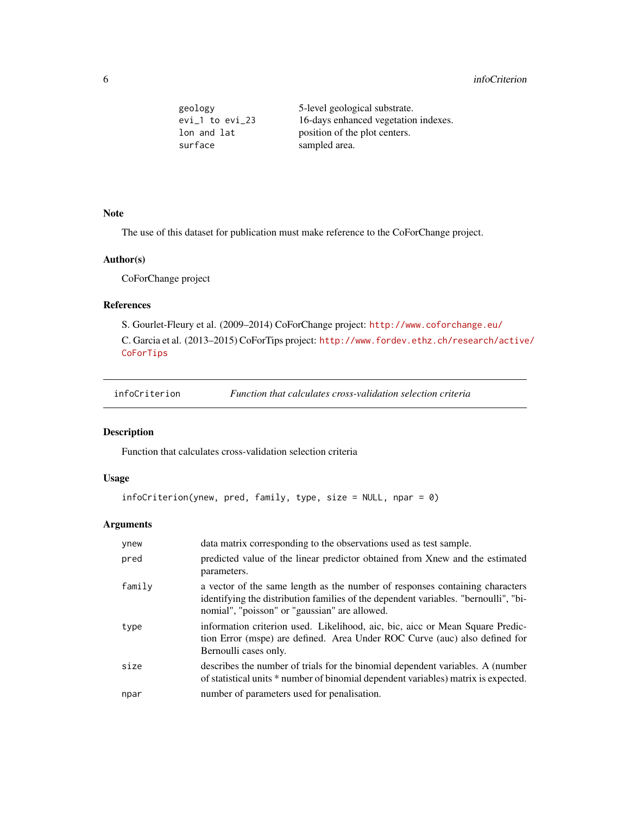<span id="page-5-0"></span>

| geology            | 5-level geological substrate.        |
|--------------------|--------------------------------------|
| $evi_1$ to $evi_2$ | 16-days enhanced vegetation indexes. |
| lon and lat        | position of the plot centers.        |
| surface            | sampled area.                        |

#### Note

The use of this dataset for publication must make reference to the CoForChange project.

#### Author(s)

CoForChange project

#### References

S. Gourlet-Fleury et al. (2009–2014) CoForChange project: <http://www.coforchange.eu/> C. Garcia et al. (2013–2015) CoForTips project: [http://www.fordev.ethz.ch/research/active](http://www.fordev.ethz.ch/research/active/CoForTips)/ **[CoForTips](http://www.fordev.ethz.ch/research/active/CoForTips)** 

#### Description

Function that calculates cross-validation selection criteria

#### Usage

```
infoCriterion(ynew, pred, family, type, size = NULL, npar = 0)
```
#### Arguments

| ynew   | data matrix corresponding to the observations used as test sample.                                                                                                                                                   |
|--------|----------------------------------------------------------------------------------------------------------------------------------------------------------------------------------------------------------------------|
| pred   | predicted value of the linear predictor obtained from Xnew and the estimated<br>parameters.                                                                                                                          |
| family | a vector of the same length as the number of responses containing characters<br>identifying the distribution families of the dependent variables. "bernoulli", "bi-<br>nomial", "poisson" or "gaussian" are allowed. |
| type   | information criterion used. Likelihood, aic, bic, aice or Mean Square Predic-<br>tion Error (mspe) are defined. Area Under ROC Curve (auc) also defined for<br>Bernoulli cases only.                                 |
| size   | describes the number of trials for the binomial dependent variables. A (number<br>of statistical units * number of binomial dependent variables) matrix is expected.                                                 |
| npar   | number of parameters used for penalisation.                                                                                                                                                                          |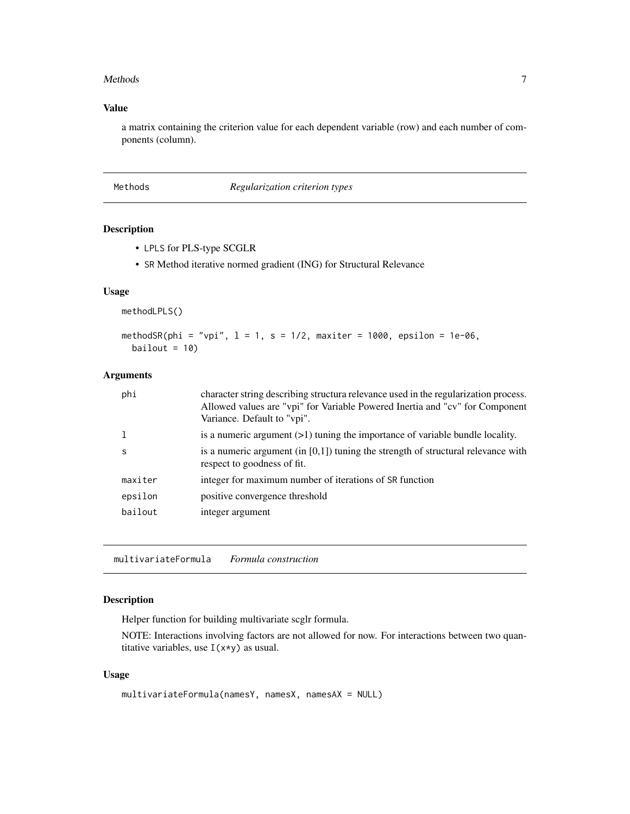#### <span id="page-6-0"></span>Methods **7**

#### Value

a matrix containing the criterion value for each dependent variable (row) and each number of components (column).

| Methods |  |
|---------|--|
|---------|--|

#### $Regularization criterion types$

#### <span id="page-6-1"></span>Description

- LPLS for PLS-type SCGLR
- SR Method iterative normed gradient (ING) for Structural Relevance

#### Usage

methodLPLS()

```
methodSR(phi = "vpi", 1 = 1, s = 1/2, maxiter = 1000, epsilon = 1e-06,
 bailout = 10
```
#### Arguments

| phi     | character string describing structura relevance used in the regularization process.<br>Allowed values are "vpi" for Variable Powered Inertia and "cv" for Component<br>Variance. Default to "vpi". |
|---------|----------------------------------------------------------------------------------------------------------------------------------------------------------------------------------------------------|
|         | is a numeric argument $(>1)$ tuning the importance of variable bundle locality.                                                                                                                    |
| S       | is a numeric argument (in $[0,1]$ ) tuning the strength of structural relevance with<br>respect to goodness of fit.                                                                                |
| maxiter | integer for maximum number of iterations of SR function                                                                                                                                            |
| epsilon | positive convergence threshold                                                                                                                                                                     |
| bailout | integer argument                                                                                                                                                                                   |
|         |                                                                                                                                                                                                    |

multivariateFormula *Formula construction*

#### Description

Helper function for building multivariate scglr formula.

NOTE: Interactions involving factors are not allowed for now. For interactions between two quantitative variables, use  $I(x*y)$  as usual.

#### Usage

```
multivariateFormula(namesY, namesX, namesAX = NULL)
```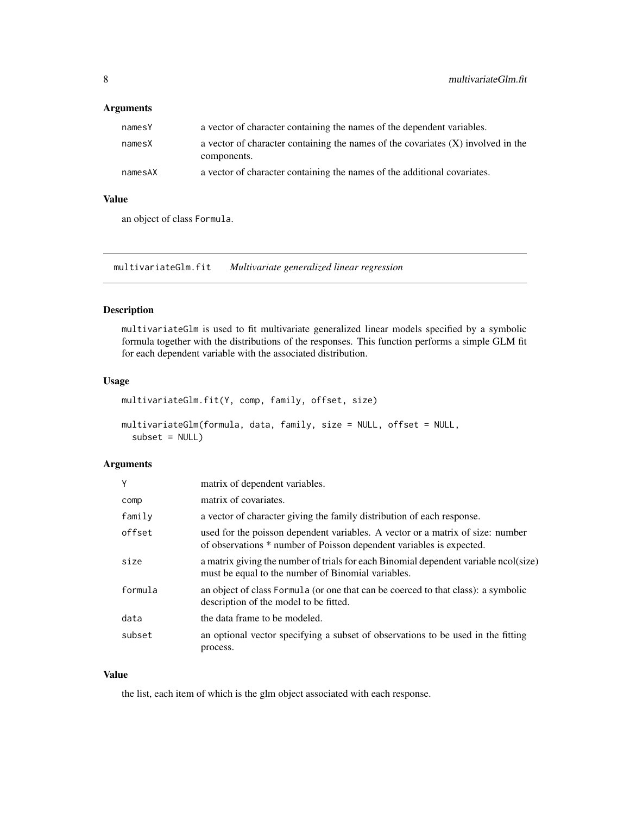#### <span id="page-7-0"></span>Arguments

| namesY  | a vector of character containing the names of the dependent variables.                            |
|---------|---------------------------------------------------------------------------------------------------|
| namesX  | a vector of character containing the names of the covariates $(X)$ involved in the<br>components. |
| namesAX | a vector of character containing the names of the additional covariates.                          |

#### Value

an object of class Formula.

multivariateGlm.fit *Multivariate generalized linear regression*

#### Description

multivariateGlm is used to fit multivariate generalized linear models specified by a symbolic formula together with the distributions of the responses. This function performs a simple GLM fit for each dependent variable with the associated distribution.

#### Usage

```
multivariateGlm.fit(Y, comp, family, offset, size)
```

```
multivariateGlm(formula, data, family, size = NULL, offset = NULL,
  subset = NULL
```
#### Arguments

| Y       | matrix of dependent variables.                                                                                                                         |
|---------|--------------------------------------------------------------------------------------------------------------------------------------------------------|
| comp    | matrix of covariates.                                                                                                                                  |
| family  | a vector of character giving the family distribution of each response.                                                                                 |
| offset  | used for the poisson dependent variables. A vector or a matrix of size: number<br>of observations * number of Poisson dependent variables is expected. |
| size    | a matrix giving the number of trials for each Binomial dependent variable ncol(size)<br>must be equal to the number of Binomial variables.             |
| formula | an object of class Formula (or one that can be coerced to that class): a symbolic<br>description of the model to be fitted.                            |
| data    | the data frame to be modeled.                                                                                                                          |
| subset  | an optional vector specifying a subset of observations to be used in the fitting<br>process.                                                           |

#### Value

the list, each item of which is the glm object associated with each response.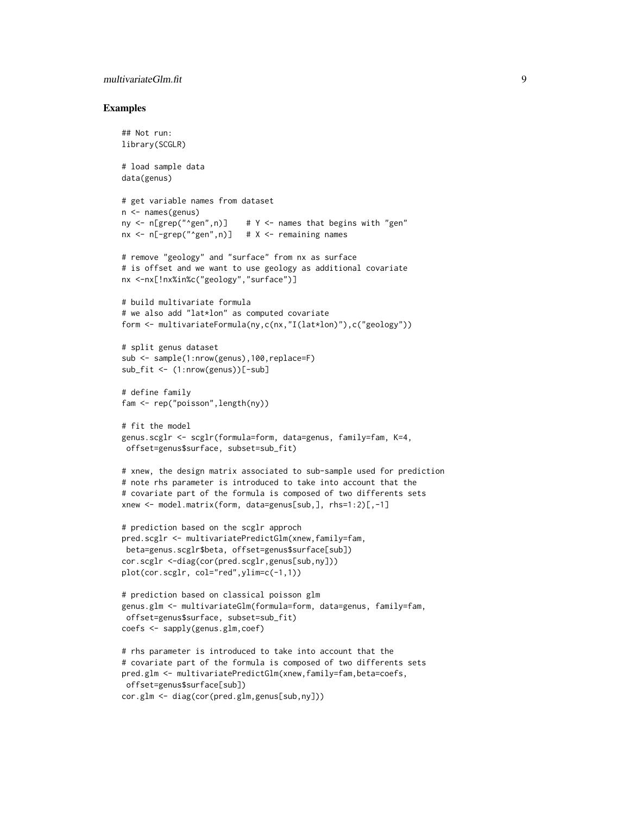#### multivariateGlm.fit 9

#### Examples

```
## Not run:
library(SCGLR)
# load sample data
data(genus)
# get variable names from dataset
n <- names(genus)
ny \leq n[grep("\leqgen",n)] # Y \leq names that begins with "gen"
nx < - n[-\text{green}("\text{open}'',n)] # X \lt- remaining names
# remove "geology" and "surface" from nx as surface
# is offset and we want to use geology as additional covariate
nx <-nx[!nx%in%c("geology","surface")]
# build multivariate formula
# we also add "lat*lon" as computed covariate
form <- multivariateFormula(ny,c(nx,"I(lat*lon)"),c("geology"))
# split genus dataset
sub <- sample(1:nrow(genus),100,replace=F)
sub_fit <- (1:nrow(genus))[-sub]
# define family
fam <- rep("poisson",length(ny))
# fit the model
genus.scglr <- scglr(formula=form, data=genus, family=fam, K=4,
offset=genus$surface, subset=sub_fit)
# xnew, the design matrix associated to sub-sample used for prediction
# note rhs parameter is introduced to take into account that the
# covariate part of the formula is composed of two differents sets
xnew <- model.matrix(form, data=genus[sub,], rhs=1:2)[,-1]
# prediction based on the scglr approch
pred.scglr <- multivariatePredictGlm(xnew,family=fam,
beta=genus.scglr$beta, offset=genus$surface[sub])
cor.scglr <-diag(cor(pred.scglr,genus[sub,ny]))
plot(cor.scglr, col="red",ylim=c(-1,1))
# prediction based on classical poisson glm
genus.glm <- multivariateGlm(formula=form, data=genus, family=fam,
offset=genus$surface, subset=sub_fit)
coefs <- sapply(genus.glm,coef)
# rhs parameter is introduced to take into account that the
# covariate part of the formula is composed of two differents sets
pred.glm <- multivariatePredictGlm(xnew,family=fam,beta=coefs,
offset=genus$surface[sub])
cor.glm <- diag(cor(pred.glm,genus[sub,ny]))
```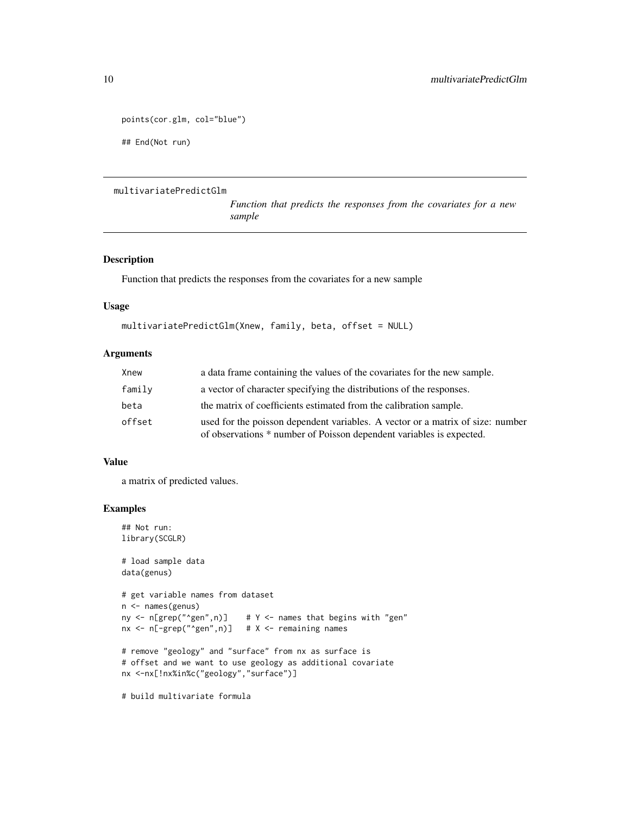```
points(cor.glm, col="blue")
## End(Not run)
```
#### multivariatePredictGlm

*Function that predicts the responses from the covariates for a new sample*

#### Description

Function that predicts the responses from the covariates for a new sample

#### Usage

```
multivariatePredictGlm(Xnew, family, beta, offset = NULL)
```
#### Arguments

| Xnew   | a data frame containing the values of the covariates for the new sample.                                                                               |
|--------|--------------------------------------------------------------------------------------------------------------------------------------------------------|
| family | a vector of character specifying the distributions of the responses.                                                                                   |
| beta   | the matrix of coefficients estimated from the calibration sample.                                                                                      |
| offset | used for the poisson dependent variables. A vector or a matrix of size: number<br>of observations * number of Poisson dependent variables is expected. |

#### Value

a matrix of predicted values.

#### Examples

```
## Not run:
library(SCGLR)
# load sample data
data(genus)
# get variable names from dataset
n <- names(genus)
ny \leq n[grep("\leqgen",n)] # Y \leq names that begins with "gen"
\frac{1}{2} nx <- n[-grep("^gen",n)] # X <- remaining names
# remove "geology" and "surface" from nx as surface is
# offset and we want to use geology as additional covariate
nx <-nx[!nx%in%c("geology","surface")]
```
# build multivariate formula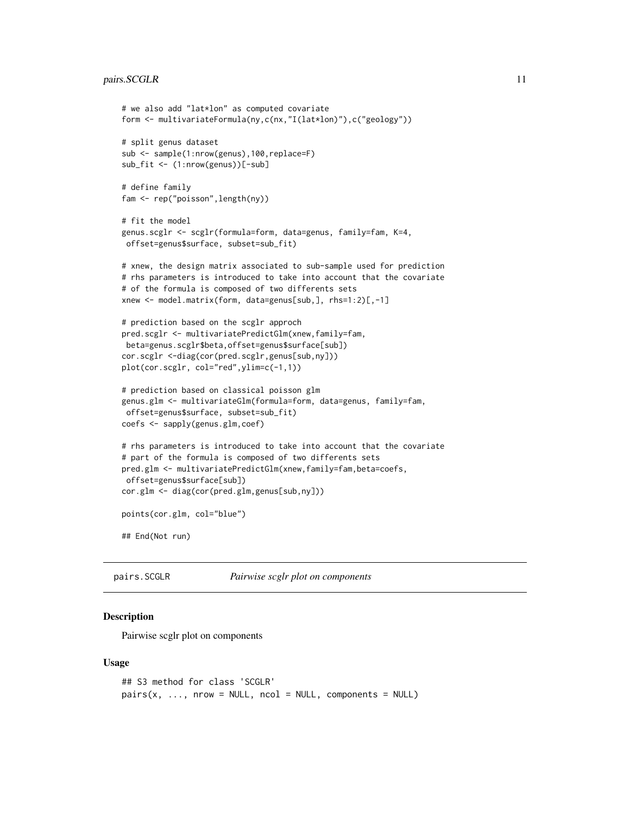#### <span id="page-10-0"></span>pairs.SCGLR 11

```
# we also add "lat*lon" as computed covariate
form <- multivariateFormula(ny,c(nx,"I(lat*lon)"),c("geology"))
# split genus dataset
sub <- sample(1:nrow(genus),100,replace=F)
sub_fit <- (1:nrow(genus))[-sub]
# define family
fam <- rep("poisson",length(ny))
# fit the model
genus.scglr <- scglr(formula=form, data=genus, family=fam, K=4,
offset=genus$surface, subset=sub_fit)
# xnew, the design matrix associated to sub-sample used for prediction
# rhs parameters is introduced to take into account that the covariate
# of the formula is composed of two differents sets
xnew <- model.matrix(form, data=genus[sub,], rhs=1:2)[,-1]
# prediction based on the scglr approch
pred.scglr <- multivariatePredictGlm(xnew,family=fam,
beta=genus.scglr$beta,offset=genus$surface[sub])
cor.scglr <-diag(cor(pred.scglr,genus[sub,ny]))
plot(cor.scglr, col="red",ylim=c(-1,1))
# prediction based on classical poisson glm
genus.glm <- multivariateGlm(formula=form, data=genus, family=fam,
offset=genus$surface, subset=sub_fit)
coefs <- sapply(genus.glm,coef)
# rhs parameters is introduced to take into account that the covariate
# part of the formula is composed of two differents sets
pred.glm <- multivariatePredictGlm(xnew,family=fam,beta=coefs,
offset=genus$surface[sub])
cor.glm <- diag(cor(pred.glm,genus[sub,ny]))
points(cor.glm, col="blue")
## End(Not run)
```
<span id="page-10-1"></span>pairs.SCGLR *Pairwise scglr plot on components*

#### Description

Pairwise scglr plot on components

#### Usage

```
## S3 method for class 'SCGLR'
pairs(x, ..., now = NULL, ncol = NULL, components = NULL)
```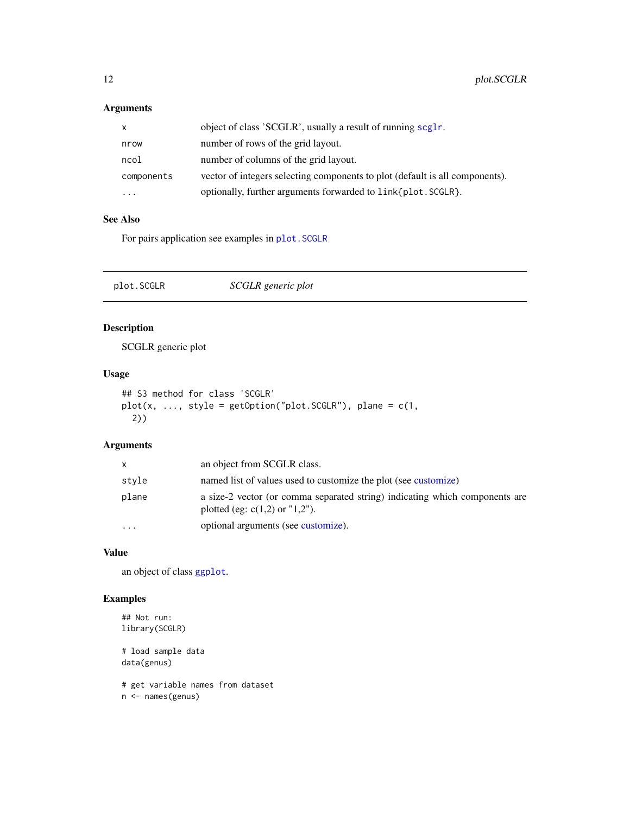#### <span id="page-11-0"></span>Arguments

| X          | object of class 'SCGLR', usually a result of running scglr.                  |
|------------|------------------------------------------------------------------------------|
| nrow       | number of rows of the grid layout.                                           |
| ncol       | number of columns of the grid layout.                                        |
| components | vector of integers selecting components to plot (default is all components). |
| $\cdots$   | optionally, further arguments forwarded to link{plot. SCGLR}.                |

#### See Also

For pairs application see examples in [plot.SCGLR](#page-11-1)

<span id="page-11-1"></span>

| plot.SCGLR | SCGLR generic plot |  |
|------------|--------------------|--|
|------------|--------------------|--|

#### Description

SCGLR generic plot

#### Usage

```
## S3 method for class 'SCGLR'
plot(x, ..., style = getOption("plot.SCGLR"), plane = c(1,2))
```
#### Arguments

| X        | an object from SCGLR class.                                                                                     |
|----------|-----------------------------------------------------------------------------------------------------------------|
| style    | named list of values used to customize the plot (see customize)                                                 |
| plane    | a size-2 vector (or comma separated string) indicating which components are<br>plotted (eg: $c(1,2)$ or "1,2"). |
| $\cdots$ | optional arguments (see customize).                                                                             |

#### Value

an object of class [ggplot](#page-0-0).

#### Examples

```
## Not run:
library(SCGLR)
```
# load sample data data(genus)

# get variable names from dataset n <- names(genus)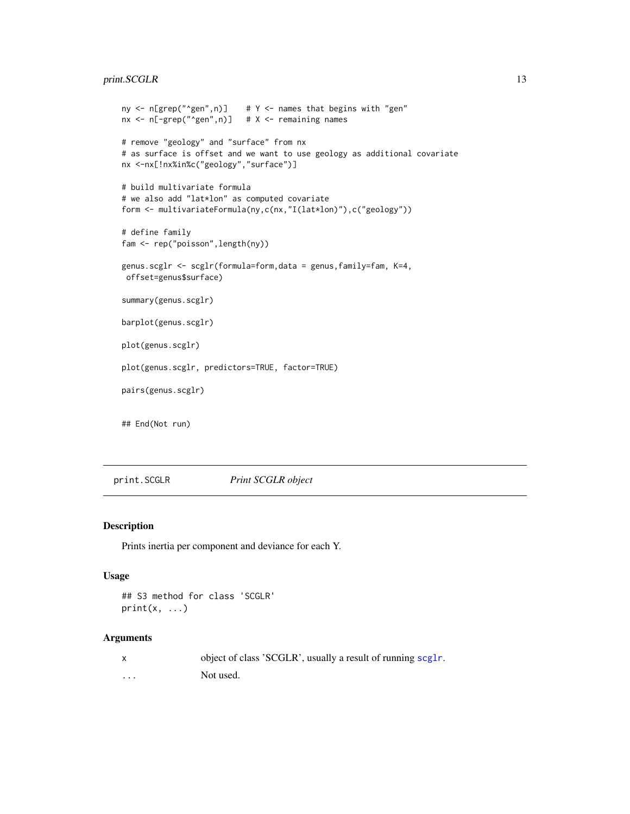#### <span id="page-12-0"></span>print.SCGLR 13

```
ny \leq n[grep("\leqgen",n)] # Y \leq names that begins with "gen"
nx < - n[-\text{green}("\text{open}'',n)] # X <- remaining names
# remove "geology" and "surface" from nx
# as surface is offset and we want to use geology as additional covariate
nx <-nx[!nx%in%c("geology","surface")]
# build multivariate formula
# we also add "lat*lon" as computed covariate
form <- multivariateFormula(ny,c(nx,"I(lat*lon)"),c("geology"))
# define family
fam <- rep("poisson",length(ny))
genus.scglr <- scglr(formula=form,data = genus,family=fam, K=4,
offset=genus$surface)
summary(genus.scglr)
barplot(genus.scglr)
plot(genus.scglr)
plot(genus.scglr, predictors=TRUE, factor=TRUE)
pairs(genus.scglr)
## End(Not run)
```
print.SCGLR *Print SCGLR object*

#### Description

Prints inertia per component and deviance for each Y.

#### Usage

```
## S3 method for class 'SCGLR'
print(x, \ldots)
```
#### Arguments

|          | object of class 'SCGLR', usually a result of running scglr. |
|----------|-------------------------------------------------------------|
| $\cdots$ | Not used.                                                   |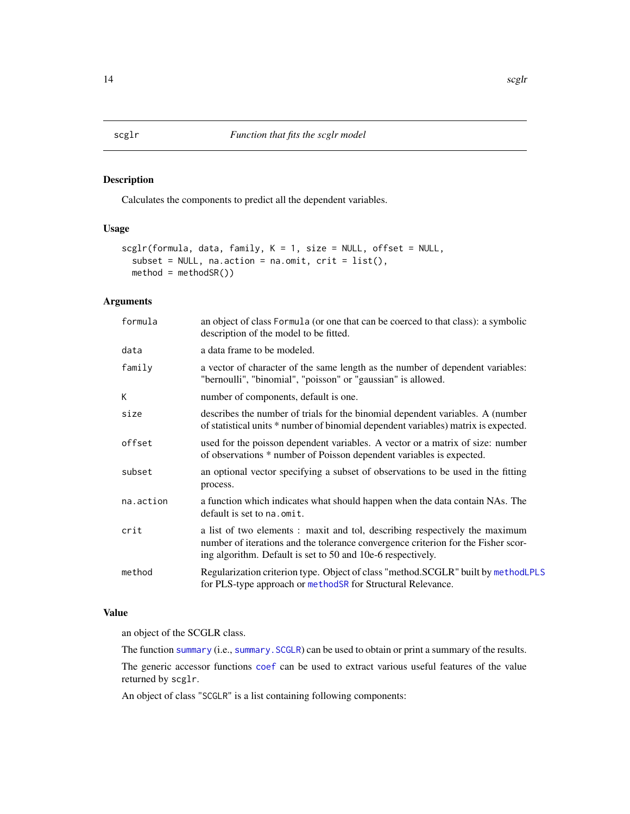#### Description

Calculates the components to predict all the dependent variables.

#### Usage

```
scglr(formula, data, family, K = 1, size = NULL, offset = NULL,
 subset = NULL, na.action = na.omit, crit = list(),
 method = methodSR()
```
#### Arguments

| formula   | an object of class Formula (or one that can be coerced to that class): a symbolic<br>description of the model to be fitted.                                                                                                     |
|-----------|---------------------------------------------------------------------------------------------------------------------------------------------------------------------------------------------------------------------------------|
| data      | a data frame to be modeled.                                                                                                                                                                                                     |
| family    | a vector of character of the same length as the number of dependent variables:<br>"bernoulli", "binomial", "poisson" or "gaussian" is allowed.                                                                                  |
| K         | number of components, default is one.                                                                                                                                                                                           |
| size      | describes the number of trials for the binomial dependent variables. A (number<br>of statistical units * number of binomial dependent variables) matrix is expected.                                                            |
| offset    | used for the poisson dependent variables. A vector or a matrix of size: number<br>of observations * number of Poisson dependent variables is expected.                                                                          |
| subset    | an optional vector specifying a subset of observations to be used in the fitting<br>process.                                                                                                                                    |
| na.action | a function which indicates what should happen when the data contain NAs. The<br>default is set to na. omit.                                                                                                                     |
| crit      | a list of two elements : maxit and tol, describing respectively the maximum<br>number of iterations and the tolerance convergence criterion for the Fisher scor-<br>ing algorithm. Default is set to 50 and 10e-6 respectively. |
| method    | Regularization criterion type. Object of class "method.SCGLR" built by methodLPLS<br>for PLS-type approach or methodSR for Structural Relevance.                                                                                |

#### Value

an object of the SCGLR class.

The function [summary](#page-0-0) (i.e., summary. SCGLR) can be used to obtain or print a summary of the results.

The generic accessor functions [coef](#page-0-0) can be used to extract various useful features of the value returned by scglr.

An object of class "SCGLR" is a list containing following components:

<span id="page-13-1"></span><span id="page-13-0"></span>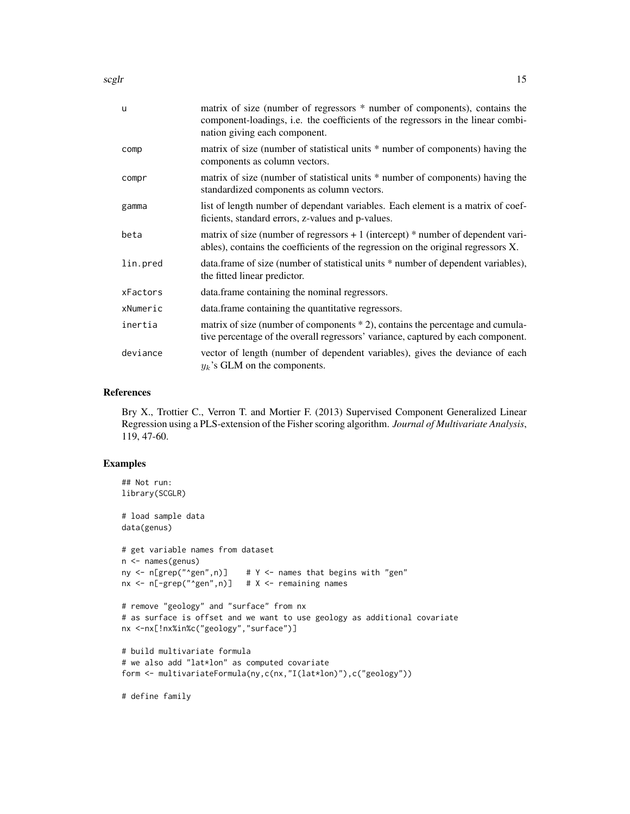$\sqrt{15}$  scglr  $\sqrt{15}$  15

| $\mathbf{u}$ | matrix of size (number of regressors * number of components), contains the<br>component-loadings, i.e. the coefficients of the regressors in the linear combi-<br>nation giving each component. |
|--------------|-------------------------------------------------------------------------------------------------------------------------------------------------------------------------------------------------|
| comp         | matrix of size (number of statistical units * number of components) having the<br>components as column vectors.                                                                                 |
| compr        | matrix of size (number of statistical units * number of components) having the<br>standardized components as column vectors.                                                                    |
| gamma        | list of length number of dependant variables. Each element is a matrix of coef-<br>ficients, standard errors, z-values and p-values.                                                            |
| beta         | matrix of size (number of regressors $+1$ (intercept) $*$ number of dependent vari-<br>ables), contains the coefficients of the regression on the original regressors X.                        |
| lin.pred     | data.frame of size (number of statistical units * number of dependent variables),<br>the fitted linear predictor.                                                                               |
| xFactors     | data.frame containing the nominal regressors.                                                                                                                                                   |
| xNumeric     | data. frame containing the quantitative regressors.                                                                                                                                             |
| inertia      | matrix of size (number of components $*$ 2), contains the percentage and cumula-<br>tive percentage of the overall regressors' variance, captured by each component.                            |
| deviance     | vector of length (number of dependent variables), gives the deviance of each<br>$y_k$ 's GLM on the components.                                                                                 |

#### References

Bry X., Trottier C., Verron T. and Mortier F. (2013) Supervised Component Generalized Linear Regression using a PLS-extension of the Fisher scoring algorithm. *Journal of Multivariate Analysis*, 119, 47-60.

#### Examples

```
## Not run:
library(SCGLR)
# load sample data
data(genus)
# get variable names from dataset
n <- names(genus)
ny <- n[grep("^gen",n)] # Y <- names that begins with "gen"
nx < - n[-\text{green}("\text{open}'',n)] # X <- remaining names
# remove "geology" and "surface" from nx
# as surface is offset and we want to use geology as additional covariate
nx <-nx[!nx%in%c("geology","surface")]
# build multivariate formula
# we also add "lat*lon" as computed covariate
form <- multivariateFormula(ny,c(nx,"I(lat*lon)"),c("geology"))
```
# define family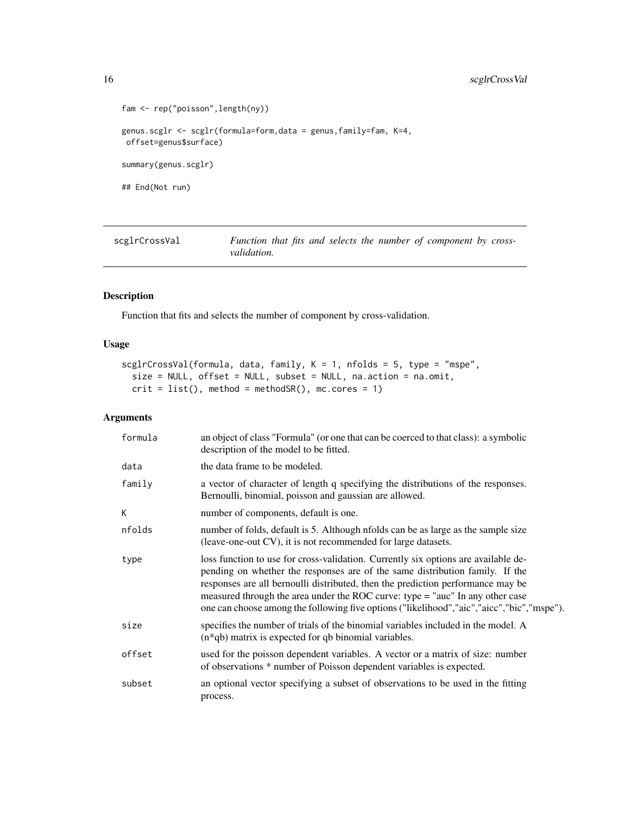```
fam <- rep("poisson",length(ny))
genus.scglr <- scglr(formula=form,data = genus,family=fam, K=4,
offset=genus$surface)
summary(genus.scglr)
## End(Not run)
```
<span id="page-15-1"></span>scglrCrossVal *Function that fits and selects the number of component by crossvalidation.*

#### Description

Function that fits and selects the number of component by cross-validation.

#### Usage

```
scglrCrossVal(formula, data, family, K = 1, nfolds = 5, type = "mspe",
  size = NULL, offset = NULL, subset = NULL, na.action = na.omit,
 crit = list(), method = methodsR(),mc.core = 1)
```
#### Arguments

| formula | an object of class "Formula" (or one that can be coerced to that class): a symbolic<br>description of the model to be fitted.                                                                                                                                                                                                                                                                                                       |
|---------|-------------------------------------------------------------------------------------------------------------------------------------------------------------------------------------------------------------------------------------------------------------------------------------------------------------------------------------------------------------------------------------------------------------------------------------|
| data    | the data frame to be modeled.                                                                                                                                                                                                                                                                                                                                                                                                       |
| family  | a vector of character of length q specifying the distributions of the responses.<br>Bernoulli, binomial, poisson and gaussian are allowed.                                                                                                                                                                                                                                                                                          |
| К       | number of components, default is one.                                                                                                                                                                                                                                                                                                                                                                                               |
| nfolds  | number of folds, default is 5. Although nfolds can be as large as the sample size<br>(leave-one-out CV), it is not recommended for large datasets.                                                                                                                                                                                                                                                                                  |
| type    | loss function to use for cross-validation. Currently six options are available de-<br>pending on whether the responses are of the same distribution family. If the<br>responses are all bernoulli distributed, then the prediction performance may be<br>measured through the area under the ROC curve: type = "auc" In any other case<br>one can choose among the following five options ("likelihood","aic","aicc","bic","mspe"). |
| size    | specifies the number of trials of the binomial variables included in the model. A<br>$(n * qb)$ matrix is expected for qb binomial variables.                                                                                                                                                                                                                                                                                       |
| offset  | used for the poisson dependent variables. A vector or a matrix of size: number<br>of observations * number of Poisson dependent variables is expected.                                                                                                                                                                                                                                                                              |
| subset  | an optional vector specifying a subset of observations to be used in the fitting<br>process.                                                                                                                                                                                                                                                                                                                                        |

<span id="page-15-0"></span>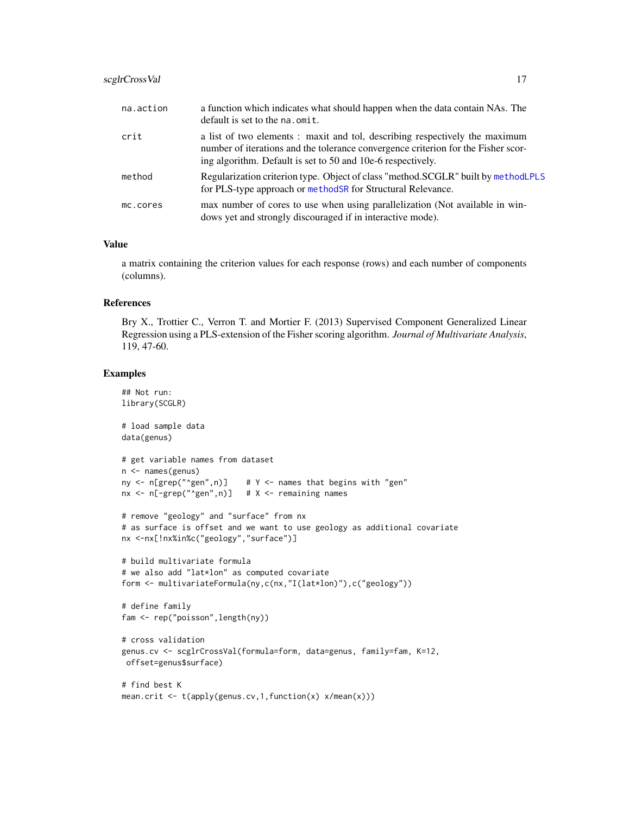#### <span id="page-16-0"></span>scglrCrossVal 17

| na.action | a function which indicates what should happen when the data contain NAs. The<br>default is set to the na. omit.                                                                                                                 |
|-----------|---------------------------------------------------------------------------------------------------------------------------------------------------------------------------------------------------------------------------------|
| crit      | a list of two elements : maxit and tol, describing respectively the maximum<br>number of iterations and the tolerance convergence criterion for the Fisher scor-<br>ing algorithm. Default is set to 50 and 10e-6 respectively. |
| method    | Regularization criterion type. Object of class "method.SCGLR" built by methodLPLS<br>for PLS-type approach or methods R for Structural Relevance.                                                                               |
| mc.cores  | max number of cores to use when using parallelization (Not available in win-<br>dows yet and strongly discouraged if in interactive mode).                                                                                      |

#### Value

a matrix containing the criterion values for each response (rows) and each number of components (columns).

#### References

Bry X., Trottier C., Verron T. and Mortier F. (2013) Supervised Component Generalized Linear Regression using a PLS-extension of the Fisher scoring algorithm. *Journal of Multivariate Analysis*, 119, 47-60.

#### Examples

```
## Not run:
library(SCGLR)
# load sample data
data(genus)
# get variable names from dataset
n <- names(genus)
ny \leq n[grep("\leqgen",n)] # Y \leq names that begins with "gen"
nx < - n[-\text{green}("\text{open}'',n)] # X <- remaining names
# remove "geology" and "surface" from nx
# as surface is offset and we want to use geology as additional covariate
nx <-nx[!nx%in%c("geology","surface")]
# build multivariate formula
# we also add "lat*lon" as computed covariate
form <- multivariateFormula(ny,c(nx,"I(lat*lon)"),c("geology"))
# define family
fam <- rep("poisson",length(ny))
# cross validation
genus.cv <- scglrCrossVal(formula=form, data=genus, family=fam, K=12,
offset=genus$surface)
# find best K
```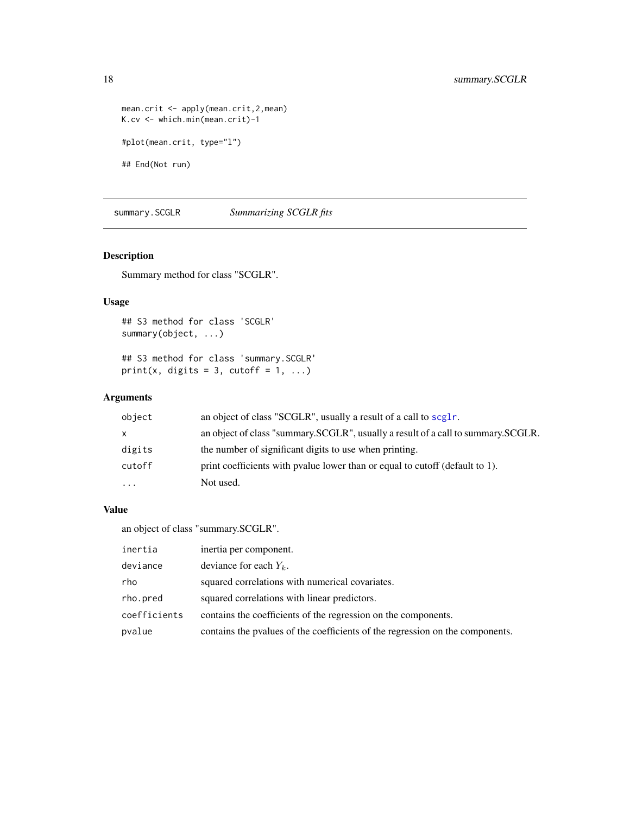```
mean.crit <- apply(mean.crit,2,mean)
K.cv <- which.min(mean.crit)-1
#plot(mean.crit, type="l")
## End(Not run)
```
<span id="page-17-1"></span>summary.SCGLR *Summarizing SCGLR fits*

#### Description

Summary method for class "SCGLR".

#### Usage

```
## S3 method for class 'SCGLR'
summary(object, ...)
```
## S3 method for class 'summary.SCGLR' print(x, digits = 3, cutoff = 1, ...)

#### Arguments

| object   | an object of class "SCGLR", usually a result of a call to scglr.                 |
|----------|----------------------------------------------------------------------------------|
| X        | an object of class "summary.SCGLR", usually a result of a call to summary.SCGLR. |
| digits   | the number of significant digits to use when printing.                           |
| cutoff   | print coefficients with pyalue lower than or equal to cutoff (default to 1).     |
| $\cdots$ | Not used.                                                                        |

#### Value

an object of class "summary.SCGLR".

| inertia      | inertia per component.                                                        |
|--------------|-------------------------------------------------------------------------------|
| deviance     | deviance for each $Y_k$ .                                                     |
| rho          | squared correlations with numerical covariates.                               |
| rho.pred     | squared correlations with linear predictors.                                  |
| coefficients | contains the coefficients of the regression on the components.                |
| pvalue       | contains the pvalues of the coefficients of the regression on the components. |

<span id="page-17-0"></span>